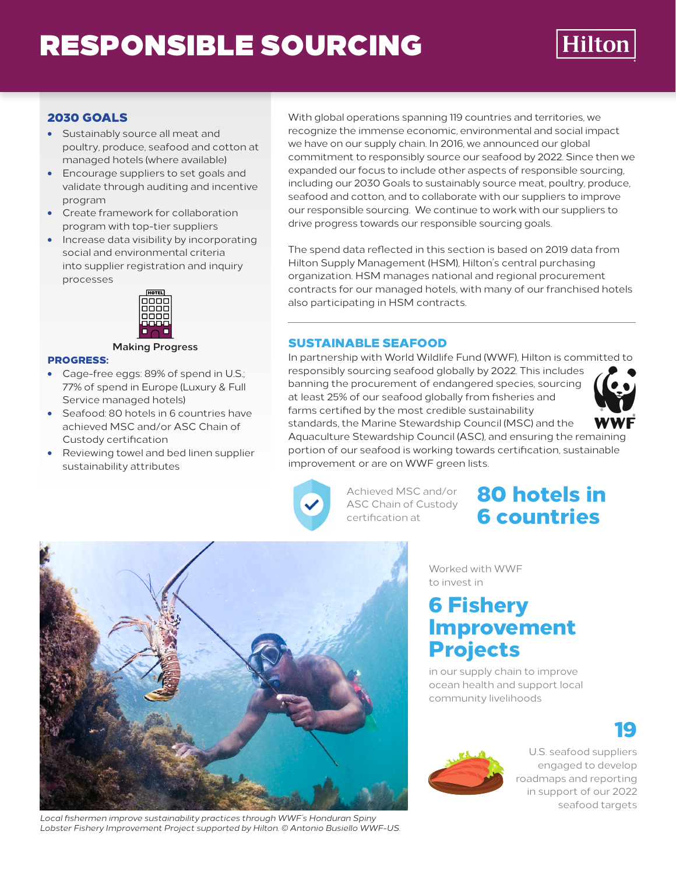# RESPONSIBLE SOURCING



### 2030 GOALS

- Sustainably source all meat and poultry, produce, seafood and cotton at managed hotels (where available)
- Encourage suppliers to set goals and validate through auditing and incentive program
- Create framework for collaboration program with top-tier suppliers
- Increase data visibility by incorporating social and environmental criteria into supplier registration and inquiry processes



#### **Making Progress**

#### PROGRESS:

- Cage-free eggs: 89% of spend in U.S.; 77% of spend in Europe (Luxury & Full Service managed hotels)
- Seafood: 80 hotels in 6 countries have achieved MSC and/or ASC Chain of Custody certification
- Reviewing towel and bed linen supplier sustainability attributes

With global operations spanning 119 countries and territories, we recognize the immense economic, environmental and social impact we have on our supply chain. In 2016, we announced our global commitment to responsibly source our seafood by 2022. Since then we expanded our focus to include other aspects of responsible sourcing, including our 2030 Goals to sustainably source meat, poultry, produce, seafood and cotton, and to collaborate with our suppliers to improve our responsible sourcing. We continue to work with our suppliers to drive progress towards our responsible sourcing goals.

The spend data reflected in this section is based on 2019 data from Hilton Supply Management (HSM), Hilton's central purchasing organization. HSM manages national and regional procurement contracts for our managed hotels, with many of our franchised hotels also participating in HSM contracts.

#### SUSTAINABLE SEAFOOD

In partnership with World Wildlife Fund (WWF), Hilton is committed to responsibly sourcing seafood globally by 2022. This includes banning the procurement of endangered species, sourcing at least 25% of our seafood globally from fisheries and farms certified by the most credible sustainability standards, the Marine Stewardship Council (MSC) and the



Aquaculture Stewardship Council (ASC), and ensuring the remaining portion of our seafood is working towards certification, sustainable improvement or are on WWF green lists.



Achieved MSC and/or ASC Chain of Custody certification at

## 80 hotels in 6 countries



*Local fishermen improve sustainability practices through WWF's Honduran Spiny Lobster Fishery Improvement Project supported by Hilton. © Antonio Busiello WWF-US.*

Worked with WWF to invest in

## 6 Fishery Improvement Projects

in our supply chain to improve ocean health and support local community livelihoods





U.S. seafood suppliers engaged to develop roadmaps and reporting in support of our 2022 seafood targets